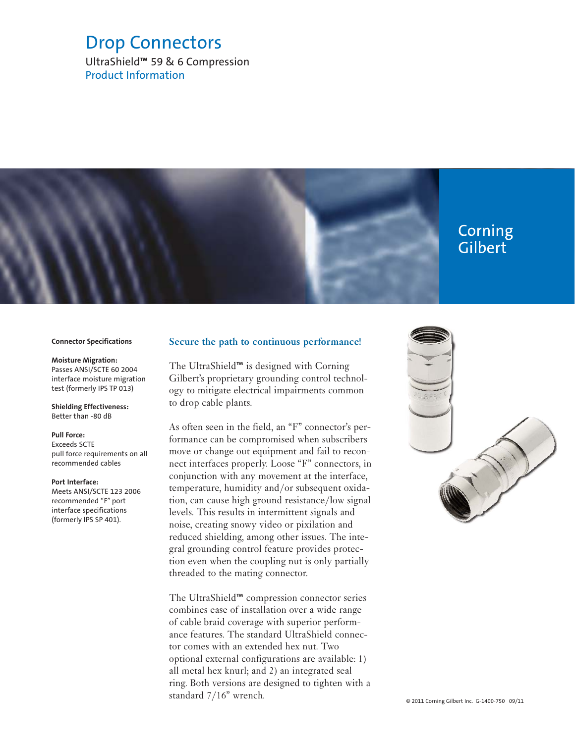# Drop Connectors

UltraShield™ 59 & 6 Compression Product Information

# Corning Gilbert

#### **Connector Specifications**

### **Moisture Migration:**

Passes ANSI/SCTE 60 2004 interface moisture migration test (formerly IPS TP 013)

#### **Shielding Effectiveness:** Better than -80 dB

#### **Pull Force:**

Exceeds SCTE pull force requirements on all recommended cables

#### **Port Interface:**

Meets ANSI/SCTE 123 2006 recommended "F" port interface specifications (formerly IPS SP 401).

### **Secure the path to continuous performance!**

The UltraShield™ is designed with Corning Gilbert's proprietary grounding control technology to mitigate electrical impairments common to drop cable plants.

As often seen in the field, an "F" connector's performance can be compromised when subscribers move or change out equipment and fail to reconnect interfaces properly. Loose "F" connectors, in conjunction with any movement at the interface, temperature, humidity and/or subsequent oxidation, can cause high ground resistance/low signal levels. This results in intermittent signals and noise, creating snowy video or pixilation and reduced shielding, among other issues. The integral grounding control feature provides protection even when the coupling nut is only partially threaded to the mating connector.

The UltraShield™ compression connector series combines ease of installation over a wide range of cable braid coverage with superior performance features. The standard UltraShield connector comes with an extended hex nut. Two optional external configurations are available: 1) all metal hex knurl; and 2) an integrated seal ring. Both versions are designed to tighten with a standard 7/16" wrench.